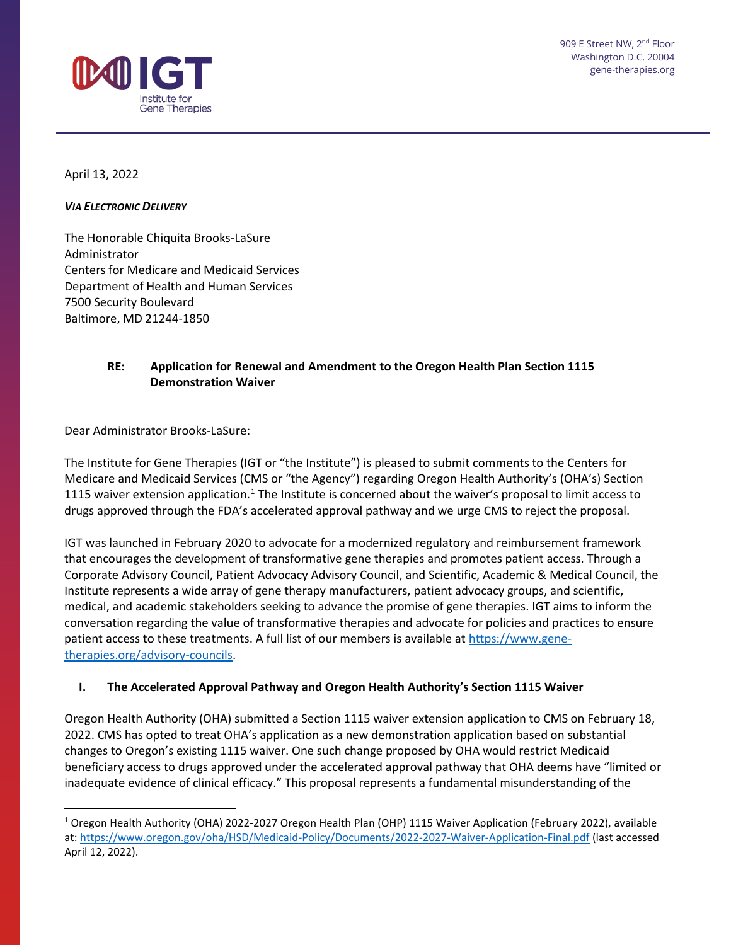

April 13, 2022

## *VIA ELECTRONIC DELIVERY*

The Honorable Chiquita Brooks-LaSure Administrator Centers for Medicare and Medicaid Services Department of Health and Human Services 7500 Security Boulevard Baltimore, MD 21244-1850

## **RE: Application for Renewal and Amendment to the Oregon Health Plan Section 1115 Demonstration Waiver**

Dear Administrator Brooks-LaSure:

The Institute for Gene Therapies (IGT or "the Institute") is pleased to submit comments to the Centers for Medicare and Medicaid Services (CMS or "the Agency") regarding Oregon Health Authority's (OHA's) Section [1](#page-0-0)115 waiver extension application.<sup>1</sup> The Institute is concerned about the waiver's proposal to limit access to drugs approved through the FDA's accelerated approval pathway and we urge CMS to reject the proposal.

IGT was launched in February 2020 to advocate for a modernized regulatory and reimbursement framework that encourages the development of transformative gene therapies and promotes patient access. Through a Corporate Advisory Council, Patient Advocacy Advisory Council, and Scientific, Academic & Medical Council, the Institute represents a wide array of gene therapy manufacturers, patient advocacy groups, and scientific, medical, and academic stakeholders seeking to advance the promise of gene therapies. IGT aims to inform the conversation regarding the value of transformative therapies and advocate for policies and practices to ensure patient access to these treatments. A full list of our members is available a[t https://www.gene](https://www.gene-therapies.org/advisory-councils)[therapies.org/advisory-councils.](https://www.gene-therapies.org/advisory-councils)

## **I. The Accelerated Approval Pathway and Oregon Health Authority's Section 1115 Waiver**

Oregon Health Authority (OHA) submitted a Section 1115 waiver extension application to CMS on February 18, 2022. CMS has opted to treat OHA's application as a new demonstration application based on substantial changes to Oregon's existing 1115 waiver. One such change proposed by OHA would restrict Medicaid beneficiary access to drugs approved under the accelerated approval pathway that OHA deems have "limited or inadequate evidence of clinical efficacy." This proposal represents a fundamental misunderstanding of the

<span id="page-0-0"></span><sup>1</sup> Oregon Health Authority (OHA) 2022-2027 Oregon Health Plan (OHP) 1115 Waiver Application (February 2022), available at:<https://www.oregon.gov/oha/HSD/Medicaid-Policy/Documents/2022-2027-Waiver-Application-Final.pdf> (last accessed April 12, 2022).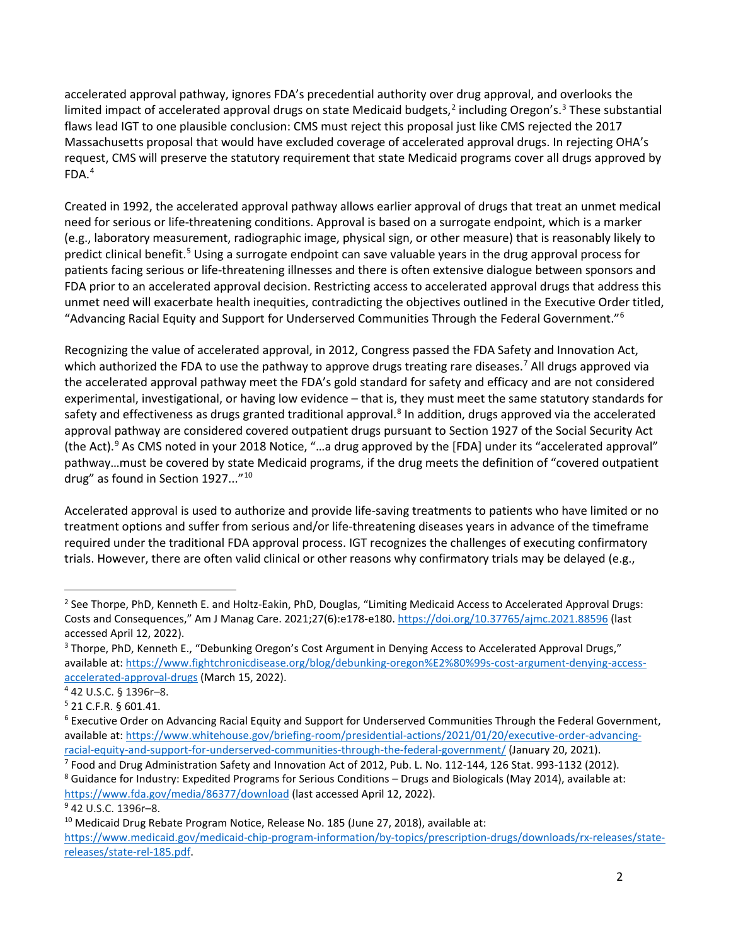accelerated approval pathway, ignores FDA's precedential authority over drug approval, and overlooks the limited impact of accelerated approval drugs on state Medicaid budgets,<sup>[2](#page-1-0)</sup> including Oregon's.<sup>[3](#page-1-1)</sup> These substantial flaws lead IGT to one plausible conclusion: CMS must reject this proposal just like CMS rejected the 2017 Massachusetts proposal that would have excluded coverage of accelerated approval drugs. In rejecting OHA's request, CMS will preserve the statutory requirement that state Medicaid programs cover all drugs approved by  $FDA.<sup>4</sup>$ 

Created in 1992, the accelerated approval pathway allows earlier approval of drugs that treat an unmet medical need for serious or life-threatening conditions. Approval is based on a surrogate endpoint, which is a marker (e.g., laboratory measurement, radiographic image, physical sign, or other measure) that is reasonably likely to predict clinical benefit[.5](#page-1-3) Using a surrogate endpoint can save valuable years in the drug approval process for patients facing serious or life-threatening illnesses and there is often extensive dialogue between sponsors and FDA prior to an accelerated approval decision. Restricting access to accelerated approval drugs that address this unmet need will exacerbate health inequities, contradicting the objectives outlined in the Executive Order titled, "Advancing Racial Equity and Support for Underserved Communities Through the Federal Government.["6](#page-1-4)

Recognizing the value of accelerated approval, in 2012, Congress passed the FDA Safety and Innovation Act, which authorized the FDA to use the pathway to approve drugs treating rare diseases.<sup>[7](#page-1-5)</sup> All drugs approved via the accelerated approval pathway meet the FDA's gold standard for safety and efficacy and are not considered experimental, investigational, or having low evidence – that is, they must meet the same statutory standards for safety and effectiveness as drugs granted traditional approval.<sup>[8](#page-1-6)</sup> In addition, drugs approved via the accelerated approval pathway are considered covered outpatient drugs pursuant to Section 1927 of the Social Security Act (the Act).[9](#page-1-7) As CMS noted in your 2018 Notice, "…a drug approved by the [FDA] under its "accelerated approval" pathway…must be covered by state Medicaid programs, if the drug meets the definition of "covered outpatient drug" as found in Section 1927..."<sup>[10](#page-1-8)</sup>

Accelerated approval is used to authorize and provide life-saving treatments to patients who have limited or no treatment options and suffer from serious and/or life-threatening diseases years in advance of the timeframe required under the traditional FDA approval process. IGT recognizes the challenges of executing confirmatory trials. However, there are often valid clinical or other reasons why confirmatory trials may be delayed (e.g.,

<span id="page-1-0"></span> $<sup>2</sup>$  See Thorpe, PhD, Kenneth E. and Holtz-Eakin, PhD, Douglas, "Limiting Medicaid Access to Accelerated Approval Drugs:</sup> Costs and Consequences," Am J Manag Care. 2021;27(6):e178-e180[. https://doi.org/10.37765/ajmc.2021.88596](https://doi.org/10.37765/ajmc.2021.88596) (last accessed April 12, 2022).

<span id="page-1-1"></span><sup>&</sup>lt;sup>3</sup> Thorpe, PhD, Kenneth E., "Debunking Oregon's Cost Argument in Denying Access to Accelerated Approval Drugs," available at[: https://www.fightchronicdisease.org/blog/debunking-oregon%E2%80%99s-cost-argument-denying-access](https://www.fightchronicdisease.org/blog/debunking-oregon%E2%80%99s-cost-argument-denying-access-accelerated-approval-drugs)[accelerated-approval-drugs](https://www.fightchronicdisease.org/blog/debunking-oregon%E2%80%99s-cost-argument-denying-access-accelerated-approval-drugs) (March 15, 2022).

<span id="page-1-2"></span><sup>4</sup> 42 U.S.C. § 1396r–8.

<span id="page-1-3"></span><sup>5</sup> 21 C.F.R. § 601.41.

<span id="page-1-4"></span><sup>&</sup>lt;sup>6</sup> Executive Order on Advancing Racial Equity and Support for Underserved Communities Through the Federal Government, available at[: https://www.whitehouse.gov/briefing-room/presidential-actions/2021/01/20/executive-order-advancing](https://www.whitehouse.gov/briefing-room/presidential-actions/2021/01/20/executive-order-advancing-racial-equity-and-support-for-underserved-communities-through-the-federal-government/)racial-equity-and-support-for-underserved-communities-through-the-federal-government/ (January 20, 2021). <sup>7</sup> Food and Drug Administration Safety and Innovation Act of 2012, Pub. L. No. 112-144, 126 Stat. 993-1132 (2012).

<span id="page-1-6"></span><span id="page-1-5"></span><sup>8</sup> Guidance for Industry: Expedited Programs for Serious Conditions – Drugs and Biologicals (May 2014), available at: <https://www.fda.gov/media/86377/download> (last accessed April 12, 2022).

<span id="page-1-7"></span><sup>9</sup> 42 U.S.C. 1396r–8.

<span id="page-1-8"></span> $10$  Medicaid Drug Rebate Program Notice, Release No. 185 (June 27, 2018), available at: [https://www.medicaid.gov/medicaid-chip-program-information/by-topics/prescription-drugs/downloads/rx-releases/state](https://www.medicaid.gov/medicaid-chip-program-information/by-topics/prescription-drugs/downloads/rx-releases/state-releases/state-rel-185.pdf)[releases/state-rel-185.pdf.](https://www.medicaid.gov/medicaid-chip-program-information/by-topics/prescription-drugs/downloads/rx-releases/state-releases/state-rel-185.pdf)